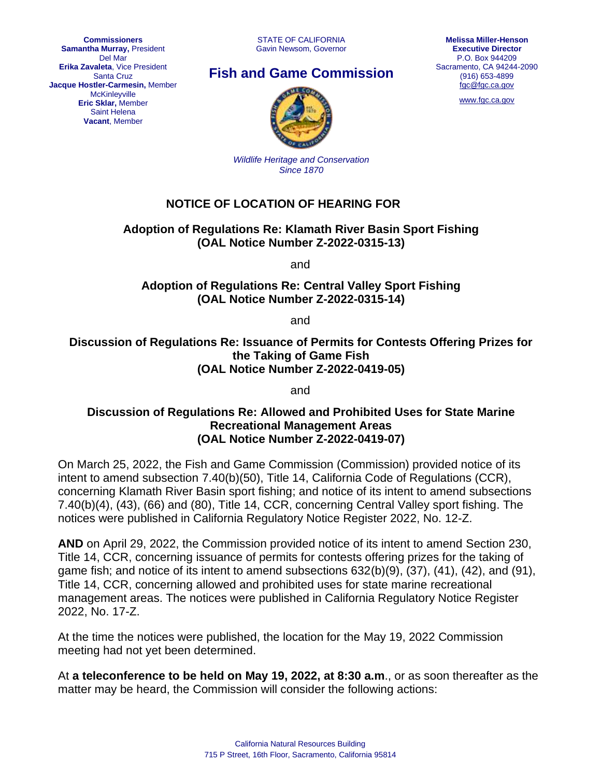**Commissioners Samantha Murray,** President Del Mar **Erika Zavaleta**, Vice President Santa Cruz **Jacque Hostler-Carmesin,** Member **McKinleyville Eric Sklar,** Member Saint Helena **Vacant**, Member

# **Fish and Game Commission**



[www.fgc.ca.gov](http://www.fgc.ca.gov/)



*Wildlife Heritage and Conservation Since 1870*

## **NOTICE OF LOCATION OF HEARING FOR**

### **Adoption of Regulations Re: Klamath River Basin Sport Fishing (OAL Notice Number Z-2022-0315-13)**

and

**Adoption of Regulations Re: Central Valley Sport Fishing (OAL Notice Number Z-2022-0315-14)**

and

**Discussion of Regulations Re: Issuance of Permits for Contests Offering Prizes for the Taking of Game Fish (OAL Notice Number Z-2022-0419-05)**

and

#### **Discussion of Regulations Re: Allowed and Prohibited Uses for State Marine Recreational Management Areas (OAL Notice Number Z-2022-0419-07)**

On March 25, 2022, the Fish and Game Commission (Commission) provided notice of its intent to amend subsection 7.40(b)(50), Title 14, California Code of Regulations (CCR), concerning Klamath River Basin sport fishing; and notice of its intent to amend subsections 7.40(b)(4), (43), (66) and (80), Title 14, CCR, concerning Central Valley sport fishing. The notices were published in California Regulatory Notice Register 2022, No. 12-Z.

**AND** on April 29, 2022, the Commission provided notice of its intent to amend Section 230, Title 14, CCR, concerning issuance of permits for contests offering prizes for the taking of game fish; and notice of its intent to amend subsections 632(b)(9), (37), (41), (42), and (91), Title 14, CCR, concerning allowed and prohibited uses for state marine recreational management areas. The notices were published in California Regulatory Notice Register 2022, No. 17-Z.

At the time the notices were published, the location for the May 19, 2022 Commission meeting had not yet been determined.

At **a teleconference to be held on May 19, 2022, at 8:30 a.m**., or as soon thereafter as the matter may be heard, the Commission will consider the following actions: